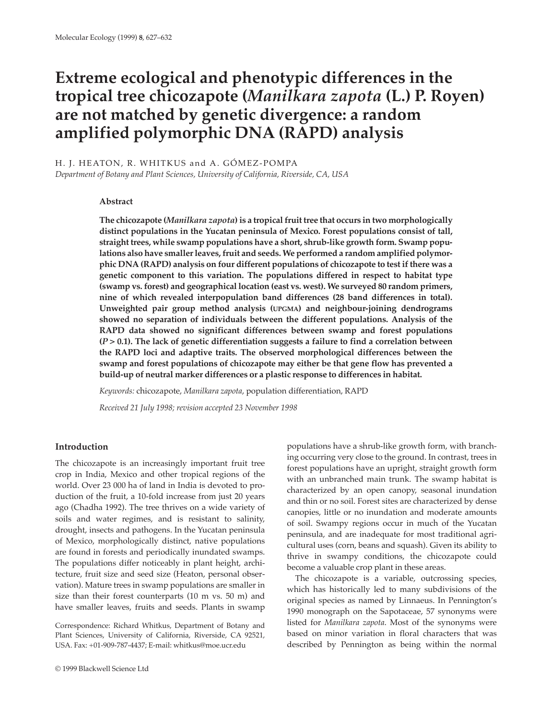# **Extreme ecological and phenotypic differences in the tropical tree chicozapote (***Manilkara zapota* **(L.) P. Royen) are not matched by genetic divergence: a random amplified polymorphic DNA (RAPD) analysis**

H. J. HEATON, R. WHITKUS and A. GÓMEZ-POMPA

*Department of Botany and Plant Sciences, University of California, Riverside, CA, USA*

## **Abstract**

**The chicozapote (***Manilkara zapota***) is a tropical fruit tree that occurs in two morphologically distinct populations in the Yucatan peninsula of Mexico. Forest populations consist of tall, straight trees, while swamp populations have a short, shrub-like growth form. Swamp populations also have smaller leaves, fruit and seeds. We performed a random amplified polymorphic DNA (RAPD) analysis on four different populations of chicozapote to test if there was a genetic component to this variation. The populations differed in respect to habitat type (swamp vs. forest) and geographical location (east vs. west). We surveyed 80 random primers, nine of which revealed interpopulation band differences (28 band differences in total). Unweighted pair group method analysis (UPGMA) and neighbour-joining dendrograms showed no separation of individuals between the different populations. Analysis of the RAPD data showed no significant differences between swamp and forest populations (***P* **> 0.1). The lack of genetic differentiation suggests a failure to find a correlation between the RAPD loci and adaptive traits. The observed morphological differences between the swamp and forest populations of chicozapote may either be that gene flow has prevented a build-up of neutral marker differences or a plastic response to differences in habitat.**

*Keywords:* chicozapote, *Manilkara zapota*, population differentiation, RAPD

*Received 21 July 1998; revision accepted 23 November 1998*

## **Introduction**

The chicozapote is an increasingly important fruit tree crop in India, Mexico and other tropical regions of the world. Over 23 000 ha of land in India is devoted to production of the fruit, a 10-fold increase from just 20 years ago (Chadha 1992). The tree thrives on a wide variety of soils and water regimes, and is resistant to salinity, drought, insects and pathogens. In the Yucatan peninsula of Mexico, morphologically distinct, native populations are found in forests and periodically inundated swamps. The populations differ noticeably in plant height, architecture, fruit size and seed size (Heaton, personal observation). Mature trees in swamp populations are smaller in size than their forest counterparts (10 m vs. 50 m) and have smaller leaves, fruits and seeds. Plants in swamp

Correspondence: Richard Whitkus, Department of Botany and Plant Sciences, University of California, Riverside, CA 92521, USA. Fax: +01-909-787-4437; E-mail: whitkus@moe.ucr.edu

© 1999 Blackwell Science Ltd

populations have a shrub-like growth form, with branching occurring very close to the ground. In contrast, trees in forest populations have an upright, straight growth form with an unbranched main trunk. The swamp habitat is characterized by an open canopy, seasonal inundation and thin or no soil. Forest sites are characterized by dense canopies, little or no inundation and moderate amounts of soil. Swampy regions occur in much of the Yucatan peninsula, and are inadequate for most traditional agricultural uses (corn, beans and squash). Given its ability to thrive in swampy conditions, the chicozapote could become a valuable crop plant in these areas.

The chicozapote is a variable, outcrossing species, which has historically led to many subdivisions of the original species as named by Linnaeus. In Pennington's 1990 monograph on the Sapotaceae, 57 synonyms were listed for *Manilkara zapota*. Most of the synonyms were based on minor variation in floral characters that was described by Pennington as being within the normal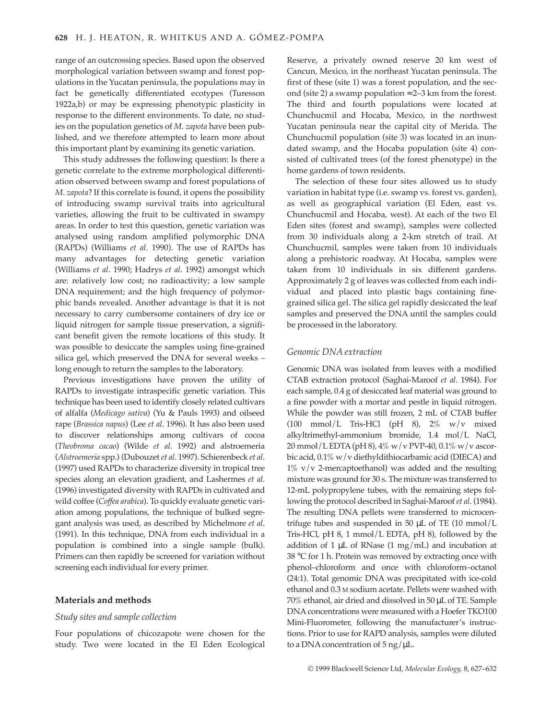range of an outcrossing species. Based upon the observed morphological variation between swamp and forest populations in the Yucatan peninsula, the populations may in fact be genetically differentiated ecotypes (Turesson 1922a,b) or may be expressing phenotypic plasticity in response to the different environments. To date, no studies on the population genetics of *M. zapota* have been published, and we therefore attempted to learn more about this important plant by examining its genetic variation.

This study addresses the following question: Is there a genetic correlate to the extreme morphological differentiation observed between swamp and forest populations of *M. zapota*? If this correlate is found, it opens the possibility of introducing swamp survival traits into agricultural varieties, allowing the fruit to be cultivated in swampy areas. In order to test this question, genetic variation was analysed using random amplified polymorphic DNA (RAPDs) (Williams *et al*. 1990). The use of RAPDs has many advantages for detecting genetic variation (Williams *et al*. 1990; Hadrys *et al*. 1992) amongst which are: relatively low cost; no radioactivity; a low sample DNA requirement; and the high frequency of polymorphic bands revealed. Another advantage is that it is not necessary to carry cumbersome containers of dry ice or liquid nitrogen for sample tissue preservation, a significant benefit given the remote locations of this study. It was possible to desiccate the samples using fine-grained silica gel, which preserved the DNA for several weeks – long enough to return the samples to the laboratory.

Previous investigations have proven the utility of RAPDs to investigate intraspecific genetic variation. This technique has been used to identify closely related cultivars of alfalfa (*Medicago sativa*) (Yu & Pauls 1993) and oilseed rape (*Brassica napus*) (Lee *et al*. 1996). It has also been used to discover relationships among cultivars of cocoa (*Theobroma cacao*) (Wilde *et al*. 1992) and alstroemeria (*Alstroemeria* spp.) (Dubouzet *et al*. 1997). Schierenbeck *et al*. (1997) used RAPDs to characterize diversity in tropical tree species along an elevation gradient, and Lashermes *et al*. (1996) investigated diversity with RAPDs in cultivated and wild coffee (*Coffea arabica*). To quickly evaluate genetic variation among populations, the technique of bulked segregant analysis was used, as described by Michelmore *et al*. (1991). In this technique, DNA from each individual in a population is combined into a single sample (bulk). Primers can then rapidly be screened for variation without screening each individual for every primer.

## **Materials and methods**

#### *Study sites and sample collection*

Four populations of chicozapote were chosen for the study. Two were located in the El Eden Ecological

Reserve, a privately owned reserve 20 km west of Cancun, Mexico, in the northeast Yucatan peninsula. The first of these (site 1) was a forest population, and the second (site 2) a swamp population  $\approx$  2–3 km from the forest. The third and fourth populations were located at Chunchucmil and Hocaba, Mexico, in the northwest Yucatan peninsula near the capital city of Merida. The Chunchucmil population (site 3) was located in an inundated swamp, and the Hocaba population (site 4) consisted of cultivated trees (of the forest phenotype) in the home gardens of town residents.

The selection of these four sites allowed us to study variation in habitat type (i.e. swamp vs. forest vs. garden), as well as geographical variation (El Eden, east vs. Chunchucmil and Hocaba, west). At each of the two El Eden sites (forest and swamp), samples were collected from 30 individuals along a 2-km stretch of trail. At Chunchucmil, samples were taken from 10 individuals along a prehistoric roadway. At Hocaba, samples were taken from 10 individuals in six different gardens. Approximately 2 g of leaves was collected from each individual and placed into plastic bags containing finegrained silica gel. The silica gel rapidly desiccated the leaf samples and preserved the DNA until the samples could be processed in the laboratory.

## *Genomic DNA extraction*

Genomic DNA was isolated from leaves with a modified CTAB extraction protocol (Saghai-Maroof *et al*. 1984). For each sample, 0.4 g of desiccated leaf material was ground to a fine powder with a mortar and pestle in liquid nitrogen. While the powder was still frozen, 2 mL of CTAB buffer  $(100 \text{ mmol/L}$  Tris-HCl (pH 8),  $2\%$  w/v mixed alkyltrimethyl-ammonium bromide, 1.4 mol/L NaCl, 20 mmol/L EDTA (pH 8), 4% w/v PVP-40, 0.1% w/v ascorbic acid, 0.1% w/v diethyldithiocarbamic acid (DIECA) and  $1\%$  v/v 2-mercaptoethanol) was added and the resulting mixture was ground for 30 s. The mixture was transferred to 12-mL polypropylene tubes, with the remaining steps following the protocol described in Saghai-Maroof *et al*. (1984). The resulting DNA pellets were transferred to microcentrifuge tubes and suspended in 50 µL of TE (10 mmol/L Tris-HCl, pH 8, 1 mmol/L EDTA, pH 8), followed by the addition of 1  $\mu$ L of RNase (1 mg/mL) and incubation at 38 °C for 1 h. Protein was removed by extracting once with phenol–chloroform and once with chloroform–octanol (24:1). Total genomic DNA was precipitated with ice-cold ethanol and 0.3 M sodium acetate. Pellets were washed with 70% ethanol, air dried and dissolved in 50 µL of TE. Sample DNA concentrations were measured with a Hoefer TKO100 Mini-Fluorometer, following the manufacturer's instructions. Prior to use for RAPD analysis, samples were diluted to a DNA concentration of  $5 \text{ ng}/\mu\text{L}$ .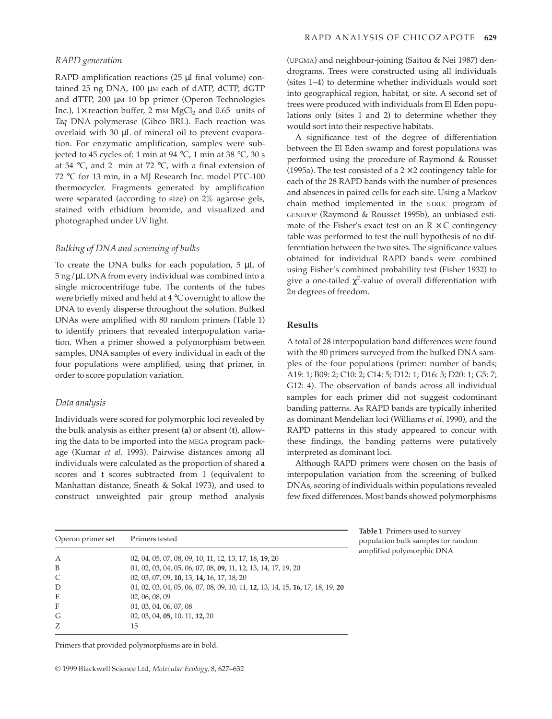### *RAPD generation*

RAPD amplification reactions (25 µl final volume) contained 25 ng DNA, 100 µM each of dATP, dCTP, dGTP and dTTP, 200 µM 10 bp primer (Operon Technologies Inc.),  $1 \times$  reaction buffer, 2 mM MgCl<sub>2</sub> and 0.65 units of *Taq* DNA polymerase (Gibco BRL). Each reaction was overlaid with 30 µL of mineral oil to prevent evaporation. For enzymatic amplification, samples were subjected to 45 cycles of: 1 min at 94  $°C$ , 1 min at 38  $°C$ , 30 s at 54  $^{\circ}$ C, and 2 min at 72  $^{\circ}$ C, with a final extension of 72 °C for 13 min, in a MJ Research Inc. model PTC-100 thermocycler. Fragments generated by amplification were separated (according to size) on 2% agarose gels, stained with ethidium bromide, and visualized and photographed under UV light.

### *Bulking of DNA and screening of bulks*

To create the DNA bulks for each population, 5 µL of 5 ng/µL DNA from every individual was combined into a single microcentrifuge tube. The contents of the tubes were briefly mixed and held at 4 °C overnight to allow the DNA to evenly disperse throughout the solution. Bulked DNAs were amplified with 80 random primers (Table 1) to identify primers that revealed interpopulation variation. When a primer showed a polymorphism between samples, DNA samples of every individual in each of the four populations were amplified, using that primer, in order to score population variation.

#### *Data analysis*

Individuals were scored for polymorphic loci revealed by the bulk analysis as either present (**a**) or absent (**t**), allowing the data to be imported into the MEGA program package (Kumar *et al*. 1993). Pairwise distances among all individuals were calculated as the proportion of shared **a** scores and **t** scores subtracted from 1 (equivalent to Manhattan distance, Sneath & Sokal 1973), and used to construct unweighted pair group method analysis (UPGMA) and neighbour-joining (Saitou & Nei 1987) dendrograms. Trees were constructed using all individuals (sites 1–4) to determine whether individuals would sort into geographical region, habitat, or site. A second set of trees were produced with individuals from El Eden populations only (sites 1 and 2) to determine whether they would sort into their respective habitats.

A significance test of the degree of differentiation between the El Eden swamp and forest populations was performed using the procedure of Raymond & Rousset (1995a). The test consisted of a  $2 \times 2$  contingency table for each of the 28 RAPD bands with the number of presences and absences in paired cells for each site. Using a Markov chain method implemented in the STRUC program of GENEPOP (Raymond & Rousset 1995b), an unbiased estimate of the Fisher's exact test on an  $R \times C$  contingency table was performed to test the null hypothesis of no differentiation between the two sites. The significance values obtained for individual RAPD bands were combined using Fisher's combined probability test (Fisher 1932) to give a one-tailed  $\chi^2$ -value of overall differentiation with 2*n* degrees of freedom.

### **Results**

A total of 28 interpopulation band differences were found with the 80 primers surveyed from the bulked DNA samples of the four populations (primer: number of bands; A19: 1; B09: 2; C10: 2; C14: 5; D12: 1; D16: 5; D20: 1; G5: 7; G12: 4). The observation of bands across all individual samples for each primer did not suggest codominant banding patterns. As RAPD bands are typically inherited as dominant Mendelian loci (Williams *et al*. 1990), and the RAPD patterns in this study appeared to concur with these findings, the banding patterns were putatively interpreted as dominant loci.

Although RAPD primers were chosen on the basis of interpopulation variation from the screening of bulked DNAs, scoring of individuals within populations revealed few fixed differences. Most bands showed polymorphisms

| Operon primer set | Primers tested                                                                 |
|-------------------|--------------------------------------------------------------------------------|
| А                 | 02, 04, 05, 07, 08, 09, 10, 11, 12, 13, 17, 18, 19, 20                         |
| B                 | 01, 02, 03, 04, 05, 06, 07, 08, 09, 11, 12, 13, 14, 17, 19, 20                 |
| C                 | 02, 03, 07, 09, 10, 13, 14, 16, 17, 18, 20                                     |
| D                 | 01, 02, 03, 04, 05, 06, 07, 08, 09, 10, 11, 12, 13, 14, 15, 16, 17, 18, 19, 20 |
| E                 | 02, 06, 08, 09                                                                 |
| F                 | 01, 03, 04, 06, 07, 08                                                         |
| G                 | 02, 03, 04, 05, 10, 11, 12, 20                                                 |
| Z.                | 15                                                                             |

**Table 1** Primers used to survey alation bulk samples for random lified polymorphic DNA

Primers that provided polymorphisms are in bold.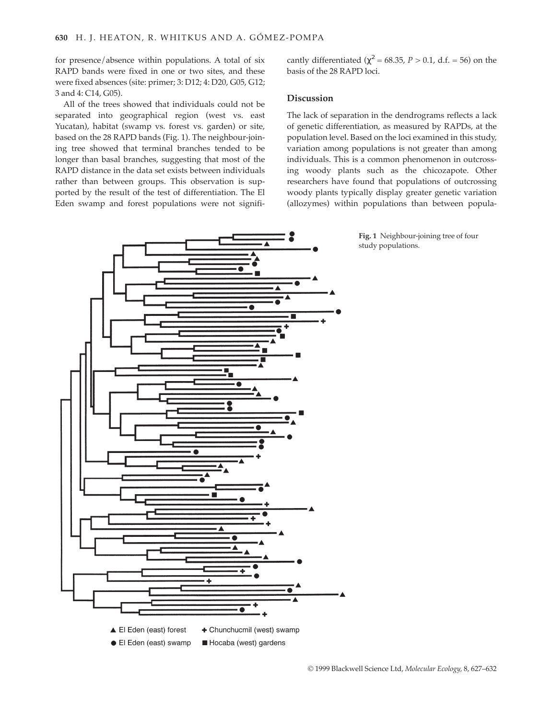for presence/absence within populations. A total of six RAPD bands were fixed in one or two sites, and these were fixed absences (site: primer; 3: D12; 4: D20, G05, G12; 3 and 4: C14, G05).

All of the trees showed that individuals could not be separated into geographical region (west vs. east Yucatan), habitat (swamp vs. forest vs. garden) or site, based on the 28 RAPD bands (Fig. 1). The neighbour-joining tree showed that terminal branches tended to be longer than basal branches, suggesting that most of the RAPD distance in the data set exists between individuals rather than between groups. This observation is supported by the result of the test of differentiation. The El Eden swamp and forest populations were not signifi-

cantly differentiated ( $\chi^2$  = 68.35, *P* > 0.1, d.f. = 56) on the basis of the 28 RAPD loci.

## **Discussion**

The lack of separation in the dendrograms reflects a lack of genetic differentiation, as measured by RAPDs, at the population level. Based on the loci examined in this study, variation among populations is not greater than among individuals. This is a common phenomenon in outcrossing woody plants such as the chicozapote. Other researchers have found that populations of outcrossing woody plants typically display greater genetic variation (allozymes) within populations than between popula-



**Fig. 1** Neighbour-joining tree of four study populations.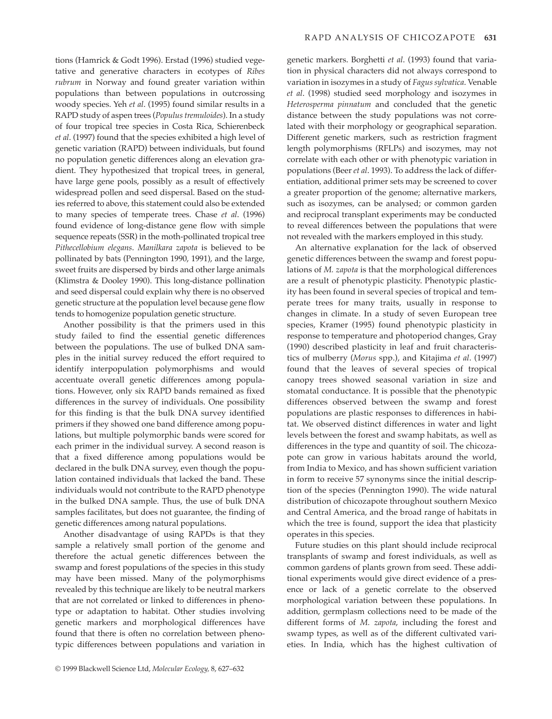tions (Hamrick & Godt 1996). Erstad (1996) studied vegetative and generative characters in ecotypes of *Ribes rubrum* in Norway and found greater variation within populations than between populations in outcrossing woody species. Yeh *et al*. (1995) found similar results in a RAPD study of aspen trees (*Populus tremuloides*). In a study of four tropical tree species in Costa Rica, Schierenbeck *et al*. (1997) found that the species exhibited a high level of genetic variation (RAPD) between individuals, but found no population genetic differences along an elevation gradient. They hypothesized that tropical trees, in general, have large gene pools, possibly as a result of effectively widespread pollen and seed dispersal. Based on the studies referred to above, this statement could also be extended to many species of temperate trees. Chase *et al*. (1996) found evidence of long-distance gene flow with simple sequence repeats (SSR) in the moth-pollinated tropical tree *Pithecellobium elegans*. *Manilkara zapota* is believed to be pollinated by bats (Pennington 1990, 1991), and the large, sweet fruits are dispersed by birds and other large animals (Klimstra & Dooley 1990). This long-distance pollination and seed dispersal could explain why there is no observed genetic structure at the population level because gene flow tends to homogenize population genetic structure.

Another possibility is that the primers used in this study failed to find the essential genetic differences between the populations. The use of bulked DNA samples in the initial survey reduced the effort required to identify interpopulation polymorphisms and would accentuate overall genetic differences among populations. However, only six RAPD bands remained as fixed differences in the survey of individuals. One possibility for this finding is that the bulk DNA survey identified primers if they showed one band difference among populations, but multiple polymorphic bands were scored for each primer in the individual survey. A second reason is that a fixed difference among populations would be declared in the bulk DNA survey, even though the population contained individuals that lacked the band. These individuals would not contribute to the RAPD phenotype in the bulked DNA sample. Thus, the use of bulk DNA samples facilitates, but does not guarantee, the finding of genetic differences among natural populations.

Another disadvantage of using RAPDs is that they sample a relatively small portion of the genome and therefore the actual genetic differences between the swamp and forest populations of the species in this study may have been missed. Many of the polymorphisms revealed by this technique are likely to be neutral markers that are not correlated or linked to differences in phenotype or adaptation to habitat. Other studies involving genetic markers and morphological differences have found that there is often no correlation between phenotypic differences between populations and variation in genetic markers. Borghetti *et al*. (1993) found that variation in physical characters did not always correspond to variation in isozymes in a study of *Fagus sylvatica*. Venable *et al*. (1998) studied seed morphology and isozymes in *Heterosperma pinnatum* and concluded that the genetic distance between the study populations was not correlated with their morphology or geographical separation. Different genetic markers, such as restriction fragment length polymorphisms (RFLPs) and isozymes, may not correlate with each other or with phenotypic variation in populations (Beer *et al*. 1993). To address the lack of differentiation, additional primer sets may be screened to cover a greater proportion of the genome; alternative markers, such as isozymes, can be analysed; or common garden and reciprocal transplant experiments may be conducted to reveal differences between the populations that were not revealed with the markers employed in this study.

An alternative explanation for the lack of observed genetic differences between the swamp and forest populations of *M. zapota* is that the morphological differences are a result of phenotypic plasticity. Phenotypic plasticity has been found in several species of tropical and temperate trees for many traits, usually in response to changes in climate. In a study of seven European tree species, Kramer (1995) found phenotypic plasticity in response to temperature and photoperiod changes, Gray (1990) described plasticity in leaf and fruit characteristics of mulberry (*Morus* spp.), and Kitajima *et al*. (1997) found that the leaves of several species of tropical canopy trees showed seasonal variation in size and stomatal conductance. It is possible that the phenotypic differences observed between the swamp and forest populations are plastic responses to differences in habitat. We observed distinct differences in water and light levels between the forest and swamp habitats, as well as differences in the type and quantity of soil. The chicozapote can grow in various habitats around the world, from India to Mexico, and has shown sufficient variation in form to receive 57 synonyms since the initial description of the species (Pennington 1990). The wide natural distribution of chicozapote throughout southern Mexico and Central America, and the broad range of habitats in which the tree is found, support the idea that plasticity operates in this species.

Future studies on this plant should include reciprocal transplants of swamp and forest individuals, as well as common gardens of plants grown from seed. These additional experiments would give direct evidence of a presence or lack of a genetic correlate to the observed morphological variation between these populations. In addition, germplasm collections need to be made of the different forms of *M. zapota*, including the forest and swamp types, as well as of the different cultivated varieties. In India, which has the highest cultivation of